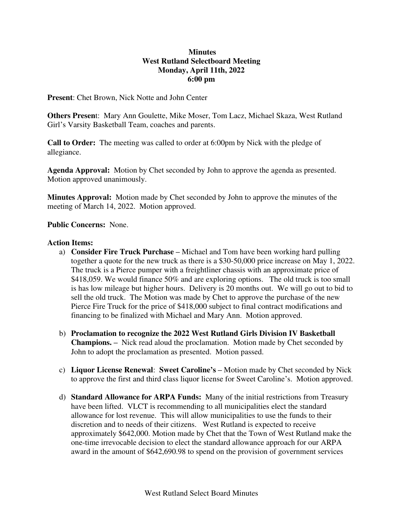# **Minutes West Rutland Selectboard Meeting Monday, April 11th, 2022 6:00 pm**

**Present**: Chet Brown, Nick Notte and John Center

**Others Presen**t: Mary Ann Goulette, Mike Moser, Tom Lacz, Michael Skaza, West Rutland Girl's Varsity Basketball Team, coaches and parents.

**Call to Order:** The meeting was called to order at 6:00pm by Nick with the pledge of allegiance.

**Agenda Approval:** Motion by Chet seconded by John to approve the agenda as presented. Motion approved unanimously.

**Minutes Approval:** Motion made by Chet seconded by John to approve the minutes of the meeting of March 14, 2022. Motion approved.

### **Public Concerns:** None.

### **Action Items:**

- a) **Consider Fire Truck Purchase –** Michael and Tom have been working hard pulling together a quote for the new truck as there is a \$30-50,000 price increase on May 1, 2022. The truck is a Pierce pumper with a freightliner chassis with an approximate price of \$418,059. We would finance 50% and are exploring options. The old truck is too small is has low mileage but higher hours. Delivery is 20 months out. We will go out to bid to sell the old truck. The Motion was made by Chet to approve the purchase of the new Pierce Fire Truck for the price of \$418,000 subject to final contract modifications and financing to be finalized with Michael and Mary Ann. Motion approved.
- b) **Proclamation to recognize the 2022 West Rutland Girls Division IV Basketball Champions. –** Nick read aloud the proclamation. Motion made by Chet seconded by John to adopt the proclamation as presented. Motion passed.
- c) **Liquor License Renewal**: **Sweet Caroline's –** Motion made by Chet seconded by Nick to approve the first and third class liquor license for Sweet Caroline's. Motion approved.
- d) **Standard Allowance for ARPA Funds:** Many of the initial restrictions from Treasury have been lifted. VLCT is recommending to all municipalities elect the standard allowance for lost revenue. This will allow municipalities to use the funds to their discretion and to needs of their citizens. West Rutland is expected to receive approximately \$642,000. Motion made by Chet that the Town of West Rutland make the one-time irrevocable decision to elect the standard allowance approach for our ARPA award in the amount of \$642,690.98 to spend on the provision of government services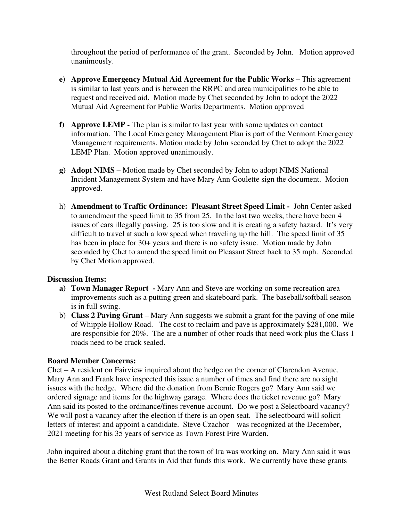throughout the period of performance of the grant. Seconded by John. Motion approved unanimously.

- **e) Approve Emergency Mutual Aid Agreement for the Public Works This agreement** is similar to last years and is between the RRPC and area municipalities to be able to request and received aid. Motion made by Chet seconded by John to adopt the 2022 Mutual Aid Agreement for Public Works Departments. Motion approved
- **f) Approve LEMP** The plan is similar to last year with some updates on contact information. The Local Emergency Management Plan is part of the Vermont Emergency Management requirements. Motion made by John seconded by Chet to adopt the 2022 LEMP Plan. Motion approved unanimously.
- **g) Adopt NIMS** Motion made by Chet seconded by John to adopt NIMS National Incident Management System and have Mary Ann Goulette sign the document. Motion approved.
- h) **Amendment to Traffic Ordinance: Pleasant Street Speed Limit** John Center asked to amendment the speed limit to 35 from 25. In the last two weeks, there have been 4 issues of cars illegally passing. 25 is too slow and it is creating a safety hazard. It's very difficult to travel at such a low speed when traveling up the hill. The speed limit of 35 has been in place for 30+ years and there is no safety issue. Motion made by John seconded by Chet to amend the speed limit on Pleasant Street back to 35 mph. Seconded by Chet Motion approved.

## **Discussion Items:**

- **a) Town Manager Report** Mary Ann and Steve are working on some recreation area improvements such as a putting green and skateboard park. The baseball/softball season is in full swing.
- b) **Class 2 Paving Grant –** Mary Ann suggests we submit a grant for the paving of one mile of Whipple Hollow Road. The cost to reclaim and pave is approximately \$281,000. We are responsible for 20%. The are a number of other roads that need work plus the Class 1 roads need to be crack sealed.

## **Board Member Concerns:**

Chet – A resident on Fairview inquired about the hedge on the corner of Clarendon Avenue. Mary Ann and Frank have inspected this issue a number of times and find there are no sight issues with the hedge. Where did the donation from Bernie Rogers go? Mary Ann said we ordered signage and items for the highway garage. Where does the ticket revenue go? Mary Ann said its posted to the ordinance/fines revenue account. Do we post a Selectboard vacancy? We will post a vacancy after the election if there is an open seat. The selectboard will solicit letters of interest and appoint a candidate. Steve Czachor – was recognized at the December, 2021 meeting for his 35 years of service as Town Forest Fire Warden.

John inquired about a ditching grant that the town of Ira was working on. Mary Ann said it was the Better Roads Grant and Grants in Aid that funds this work. We currently have these grants